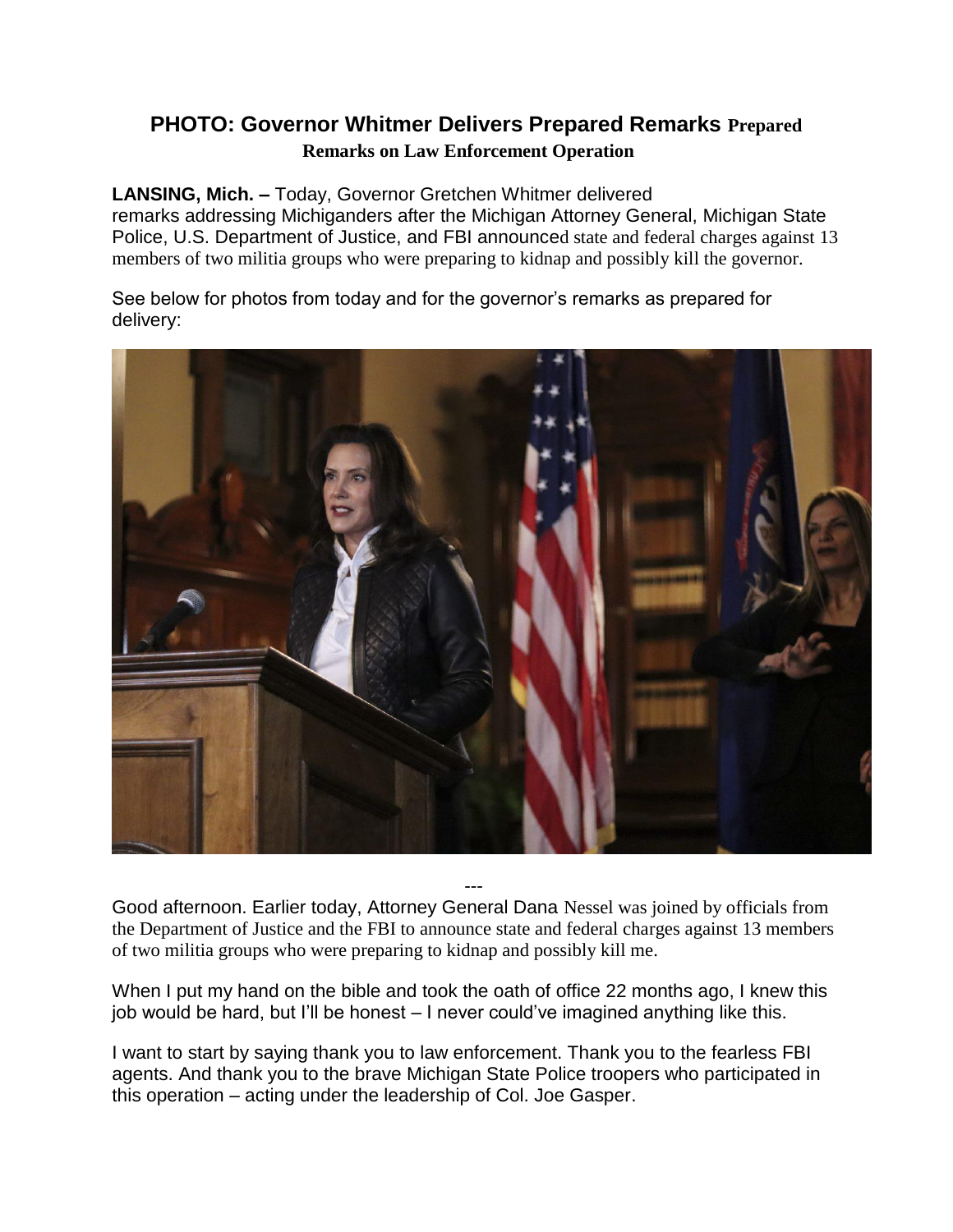## **PHOTO: Governor Whitmer Delivers Prepared Remarks Prepared Remarks on Law Enforcement Operation**

## **LANSING, Mich. –** Today, Governor Gretchen Whitmer delivered

remarks addressing Michiganders after the Michigan Attorney General, Michigan State Police, U.S. Department of Justice, and FBI announced state and federal charges against 13 members of two militia groups who were preparing to kidnap and possibly kill the governor.

See below for photos from today and for the governor's remarks as prepared for delivery:



--- Good afternoon. Earlier today, Attorney General Dana Nessel was joined by officials from the Department of Justice and the FBI to announce state and federal charges against 13 members of two militia groups who were preparing to kidnap and possibly kill me.

When I put my hand on the bible and took the oath of office 22 months ago, I knew this job would be hard, but I'll be honest – I never could've imagined anything like this.

I want to start by saying thank you to law enforcement. Thank you to the fearless FBI agents. And thank you to the brave Michigan State Police troopers who participated in this operation – acting under the leadership of Col. Joe Gasper.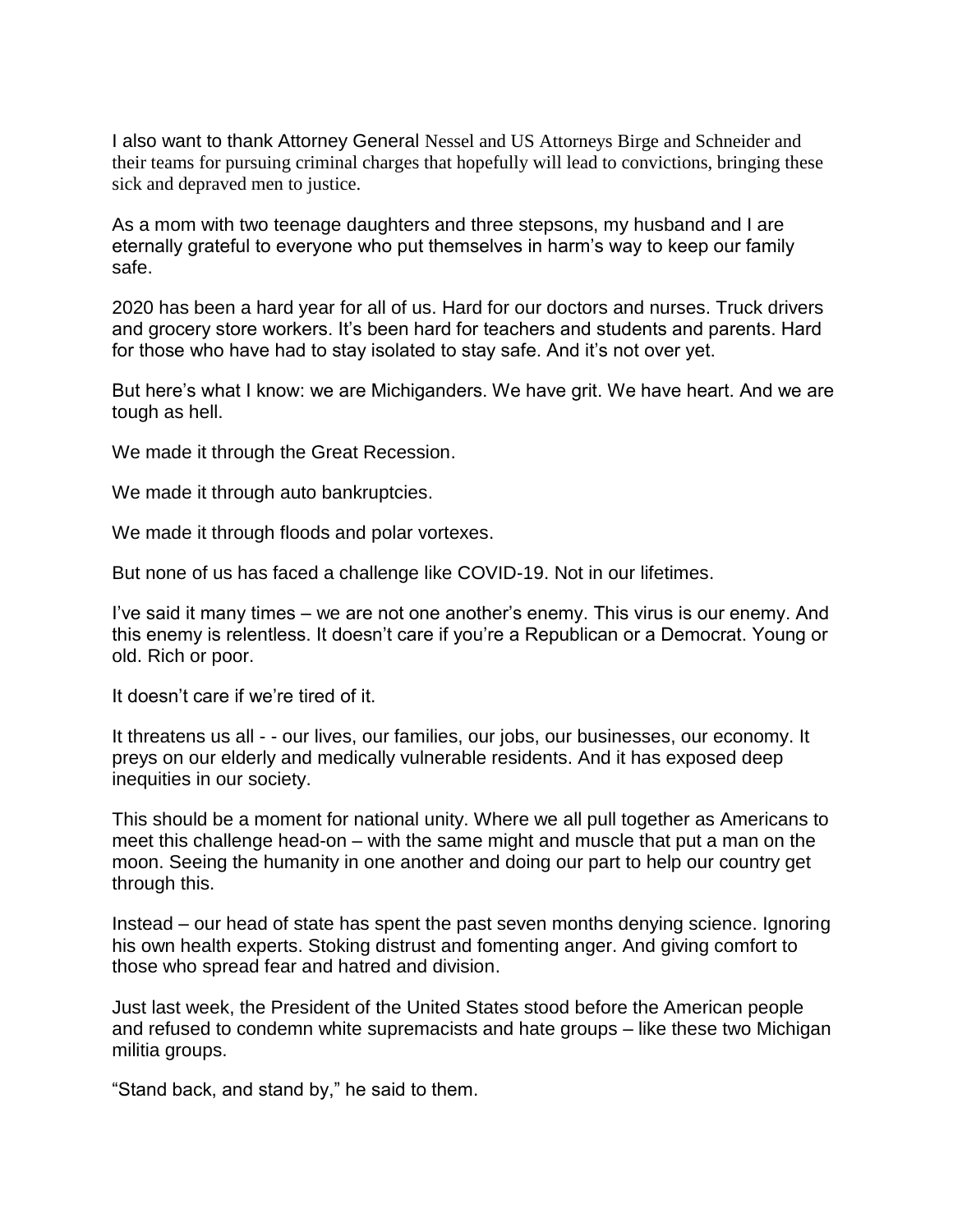I also want to thank Attorney General Nessel and US Attorneys Birge and Schneider and their teams for pursuing criminal charges that hopefully will lead to convictions, bringing these sick and depraved men to justice.

As a mom with two teenage daughters and three stepsons, my husband and I are eternally grateful to everyone who put themselves in harm's way to keep our family safe.

2020 has been a hard year for all of us. Hard for our doctors and nurses. Truck drivers and grocery store workers. It's been hard for teachers and students and parents. Hard for those who have had to stay isolated to stay safe. And it's not over yet.

But here's what I know: we are Michiganders. We have grit. We have heart. And we are tough as hell.

We made it through the Great Recession.

We made it through auto bankruptcies.

We made it through floods and polar vortexes.

But none of us has faced a challenge like COVID-19. Not in our lifetimes.

I've said it many times – we are not one another's enemy. This virus is our enemy. And this enemy is relentless. It doesn't care if you're a Republican or a Democrat. Young or old. Rich or poor.

It doesn't care if we're tired of it.

It threatens us all - - our lives, our families, our jobs, our businesses, our economy. It preys on our elderly and medically vulnerable residents. And it has exposed deep inequities in our society.

This should be a moment for national unity. Where we all pull together as Americans to meet this challenge head-on – with the same might and muscle that put a man on the moon. Seeing the humanity in one another and doing our part to help our country get through this.

Instead – our head of state has spent the past seven months denying science. Ignoring his own health experts. Stoking distrust and fomenting anger. And giving comfort to those who spread fear and hatred and division.

Just last week, the President of the United States stood before the American people and refused to condemn white supremacists and hate groups – like these two Michigan militia groups.

"Stand back, and stand by," he said to them.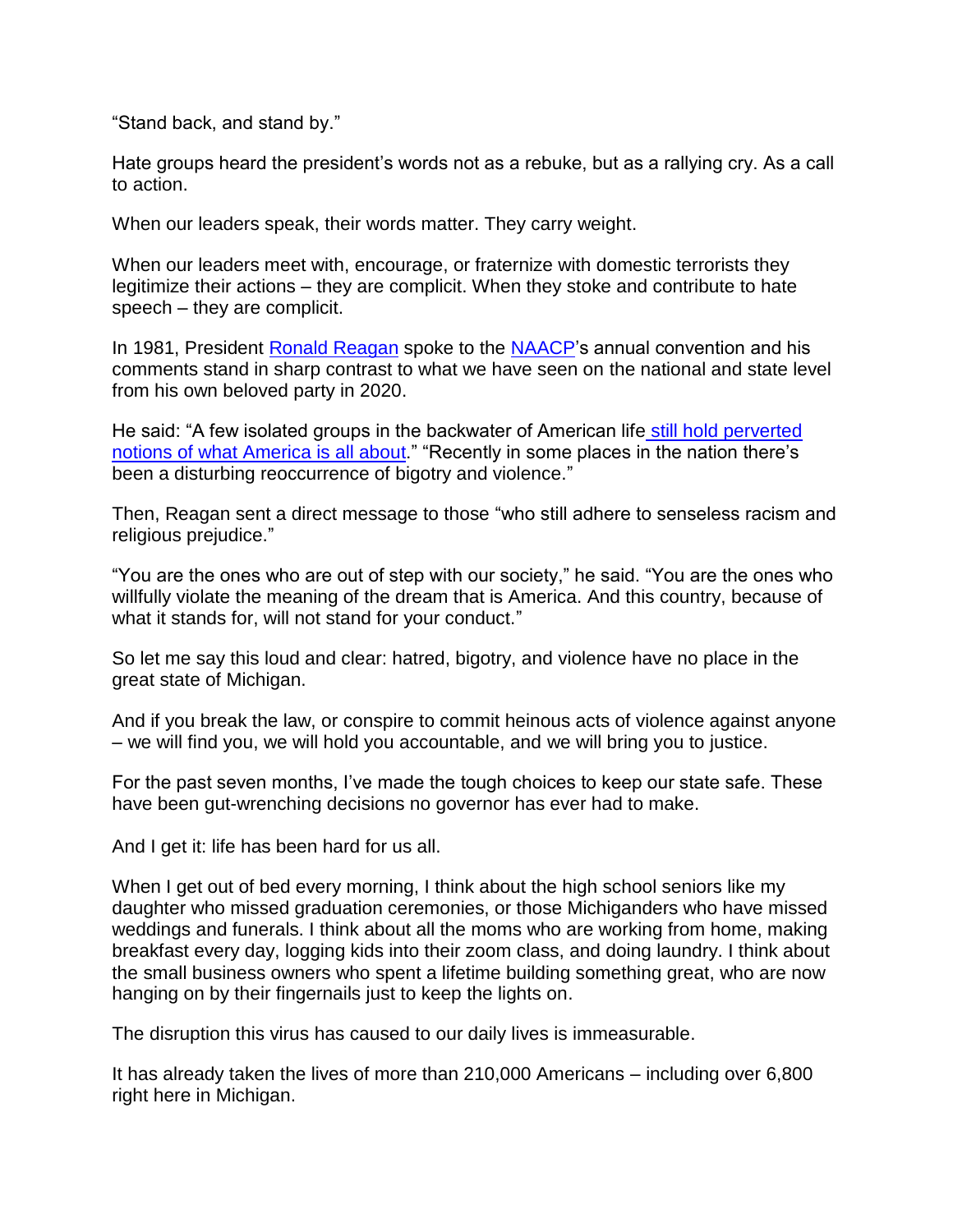"Stand back, and stand by."

Hate groups heard the president's words not as a rebuke, but as a rallying cry. As a call to action.

When our leaders speak, their words matter. They carry weight.

When our leaders meet with, encourage, or fraternize with domestic terrorists they legitimize their actions – they are complicit. When they stoke and contribute to hate speech – they are complicit.

In 1981, President [Ronald Reagan](https://lnks.gd/l/eyJhbGciOiJIUzI1NiJ9.eyJidWxsZXRpbl9saW5rX2lkIjoxMDAsInVyaSI6ImJwMjpjbGljayIsImJ1bGxldGluX2lkIjoiMjAyMDEwMDguMjg0NTQ0NTEiLCJ1cmwiOiJodHRwczovL3d3dy5odWZmcG9zdC5jb20vdG9waWMvcm9uYWxkLXJlYWdhbiJ9.Onwr-LtylE99bK4hv4vd_oEoc-ZrbOGOIMvOHCx7N2Q/s/1199120441/br/86637755448-l) spoke to the [NAACP'](https://lnks.gd/l/eyJhbGciOiJIUzI1NiJ9.eyJidWxsZXRpbl9saW5rX2lkIjoxMDEsInVyaSI6ImJwMjpjbGljayIsImJ1bGxldGluX2lkIjoiMjAyMDEwMDguMjg0NTQ0NTEiLCJ1cmwiOiJodHRwczovL3d3dy5odWZmcG9zdC5jb20vdG9waWMvbmFhY3AifQ.BpSkRJ3uU2738iXk2u2OO1zpnhR8RdbI683pM3hfEC8/s/1199120441/br/86637755448-l)s annual convention and his comments stand in sharp contrast to what we have seen on the national and state level from his own beloved party in 2020.

He said: "A few isolated groups in the backwater of American life [still hold perverted](https://lnks.gd/l/eyJhbGciOiJIUzI1NiJ9.eyJidWxsZXRpbl9saW5rX2lkIjoxMDIsInVyaSI6ImJwMjpjbGljayIsImJ1bGxldGluX2lkIjoiMjAyMDEwMDguMjg0NTQ0NTEiLCJ1cmwiOiJodHRwczovL3JlYWdhbmxpYnJhcnkuYXJjaGl2ZXMuZ292L2FyY2hpdmVzL3NwZWVjaGVzLzE5ODEvNjI5ODFhLmh0bSJ9.VwDvLEceJyXefuJt6yyZHaq01AscnDm4nsT4sgKAfB0/s/1199120441/br/86637755448-l)  [notions of what America is all about.](https://lnks.gd/l/eyJhbGciOiJIUzI1NiJ9.eyJidWxsZXRpbl9saW5rX2lkIjoxMDIsInVyaSI6ImJwMjpjbGljayIsImJ1bGxldGluX2lkIjoiMjAyMDEwMDguMjg0NTQ0NTEiLCJ1cmwiOiJodHRwczovL3JlYWdhbmxpYnJhcnkuYXJjaGl2ZXMuZ292L2FyY2hpdmVzL3NwZWVjaGVzLzE5ODEvNjI5ODFhLmh0bSJ9.VwDvLEceJyXefuJt6yyZHaq01AscnDm4nsT4sgKAfB0/s/1199120441/br/86637755448-l)" "Recently in some places in the nation there's been a disturbing reoccurrence of bigotry and violence."

Then, Reagan sent a direct message to those "who still adhere to senseless racism and religious prejudice."

"You are the ones who are out of step with our society," he said. "You are the ones who willfully violate the meaning of the dream that is America. And this country, because of what it stands for, will not stand for your conduct."

So let me say this loud and clear: hatred, bigotry, and violence have no place in the great state of Michigan.

And if you break the law, or conspire to commit heinous acts of violence against anyone – we will find you, we will hold you accountable, and we will bring you to justice.

For the past seven months, I've made the tough choices to keep our state safe. These have been gut-wrenching decisions no governor has ever had to make.

And I get it: life has been hard for us all.

When I get out of bed every morning, I think about the high school seniors like my daughter who missed graduation ceremonies, or those Michiganders who have missed weddings and funerals. I think about all the moms who are working from home, making breakfast every day, logging kids into their zoom class, and doing laundry. I think about the small business owners who spent a lifetime building something great, who are now hanging on by their fingernails just to keep the lights on.

The disruption this virus has caused to our daily lives is immeasurable.

It has already taken the lives of more than 210,000 Americans – including over 6,800 right here in Michigan.